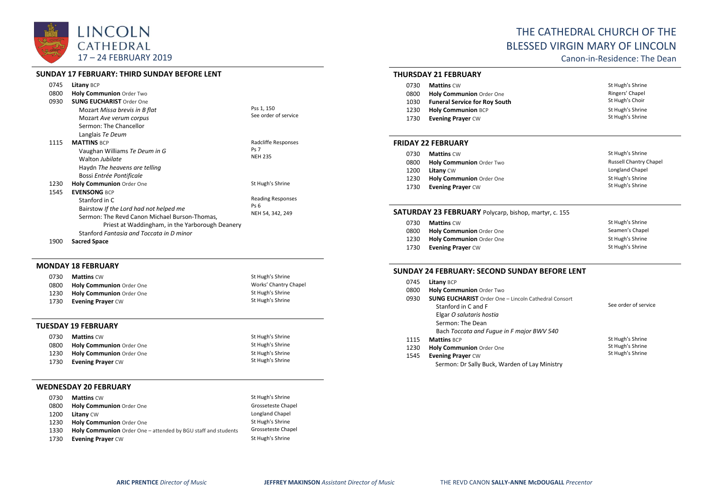

## **SUNDAY 17 FEBRUARY: THIRD SUNDAY BEFORE LENT**

| 0745 | <b>Litany BCP</b>                                                                                                                                                                                                              |                                                      |
|------|--------------------------------------------------------------------------------------------------------------------------------------------------------------------------------------------------------------------------------|------------------------------------------------------|
| 0800 | <b>Holy Communion Order Two</b>                                                                                                                                                                                                |                                                      |
| 0930 | <b>SUNG EUCHARIST Order One</b><br>Mozart Missa brevis in B flat<br>Mozart Ave verum corpus<br>Sermon: The Chancellor<br>Langlais Te Deum                                                                                      | Pss 1, 150<br>See order of service                   |
| 1115 | <b>MATTINS BCP</b><br>Vaughan Williams Te Deum in G<br>Walton Jubilate<br>Haydn The heavens are telling<br>Bossi Entrée Pontificale                                                                                            | Radcliffe Responses<br><b>Ps 7</b><br><b>NEH 235</b> |
| 1230 | <b>Holy Communion Order One</b>                                                                                                                                                                                                | St Hugh's Shrine                                     |
| 1545 | <b>EVENSONG BCP</b><br>Stanford in C<br>Bairstow If the Lord had not helped me<br>Sermon: The Revd Canon Michael Burson-Thomas,<br>Priest at Waddingham, in the Yarborough Deanery<br>Stanford Fantasia and Toccata in D minor | <b>Reading Responses</b><br>Ps 6<br>NEH 54, 342, 249 |

1900 **Sacred Space**

#### **MONDAY 18 FEBRUARY**

| 0730 | <b>Mattins CW</b>                | St Hugh's Shrine      |
|------|----------------------------------|-----------------------|
| 0800 | <b>Holy Communion</b> Order One  | Works' Chantry Chapel |
| 1230 | <b>Holy Communion Order One</b>  | St Hugh's Shrine      |
| 1730 | <b>Evening Prayer CW</b>         | St Hugh's Shrine      |
|      |                                  |                       |
|      | . . _ _ _ _ <i>. _</i> _ _ _ _ _ |                       |

#### **TUESDAY 19 FEBRUARY**

| 0730 | <b>Mattins</b> CW               | St Hugh's Shrine |
|------|---------------------------------|------------------|
| 0800 | <b>Holy Communion Order One</b> | St Hugh's Shrine |
| 1230 | <b>Holy Communion Order One</b> | St Hugh's Shrine |
| 1730 | <b>Evening Prayer CW</b>        | St Hugh's Shrine |

#### **WEDNESDAY 20 FEBRUARY**

| 0730 | <b>Mattins CW</b>                                             | St Hugh's Shrine   |
|------|---------------------------------------------------------------|--------------------|
| 0800 | <b>Holy Communion Order One</b>                               | Grosseteste Chapel |
| 1200 | <b>Litany CW</b>                                              | Longland Chapel    |
| 1230 | <b>Holy Communion Order One</b>                               | St Hugh's Shrine   |
| 1330 | Holy Communion Order One - attended by BGU staff and students | Grosseteste Chapel |
| 1730 | <b>Evening Prayer CW</b>                                      | St Hugh's Shrine   |

# THE CATHEDRAL CHURCH OF THE BLESSED VIRGIN MARY OF LINCOLN

# Canon-in-Residence: The Dean

### **THURSDAY 21 FEBRUARY**

| 0730 | <b>Mattins CW</b>                    | St Hugh's Shrine |
|------|--------------------------------------|------------------|
| 0800 | <b>Holy Communion Order One</b>      | Ringers' Chapel  |
| 1030 | <b>Funeral Service for Roy South</b> | St Hugh's Choir  |
| 1230 | <b>Holy Communion BCP</b>            | St Hugh's Shrine |
| 1730 | <b>Evening Prayer CW</b>             | St Hugh's Shrine |

### **FRIDAY 22 FEBRUARY**

| 0730 | <b>Mattins CW</b>        | St Hugh's Shrine              |
|------|--------------------------|-------------------------------|
| 0800 | Holy Communion Order Two | <b>Russell Chantry Chapel</b> |
| 1200 | <b>Litany</b> CW         | Longland Chapel               |
| 1230 | Holy Communion Order One | St Hugh's Shrine              |
| 1730 | <b>Evening Prayer CW</b> | St Hugh's Shrine              |

# **SATURDAY 23 FEBRUARY** Polycarp, bishop, martyr, c. 155

| 0730 | <b>Mattins</b> CW               | St Hugh's Shrine |
|------|---------------------------------|------------------|
| 0800 | <b>Holy Communion</b> Order One | Seamen's Chapel  |
| 1230 | Holy Communion Order One        | St Hugh's Shrine |
| 1730 | <b>Evening Prayer CW</b>        | St Hugh's Shrine |

# **SUNDAY 24 FEBRUARY: SECOND SUNDAY BEFORE LENT**

| 0745 | Litany BCP                                                  |                      |
|------|-------------------------------------------------------------|----------------------|
| 0800 | Holy Communion Order Two                                    |                      |
| 0930 | <b>SUNG EUCHARIST</b> Order One - Lincoln Cathedral Consort |                      |
|      | Stanford in C and F                                         | See order of service |
|      | Elgar O salutaris hostia                                    |                      |
|      | Sermon: The Dean                                            |                      |
|      | Bach Toccata and Fugue in F major BWV 540                   |                      |
| 1115 | <b>Mattins BCP</b>                                          | St Hugh's Shrine     |
| 1230 | Holy Communion Order One                                    | St Hugh's Shrine     |
| 1545 | <b>Evening Prayer CW</b>                                    | St Hugh's Shrine     |
|      | Sermon: Dr Sally Buck, Warden of Lay Ministry               |                      |